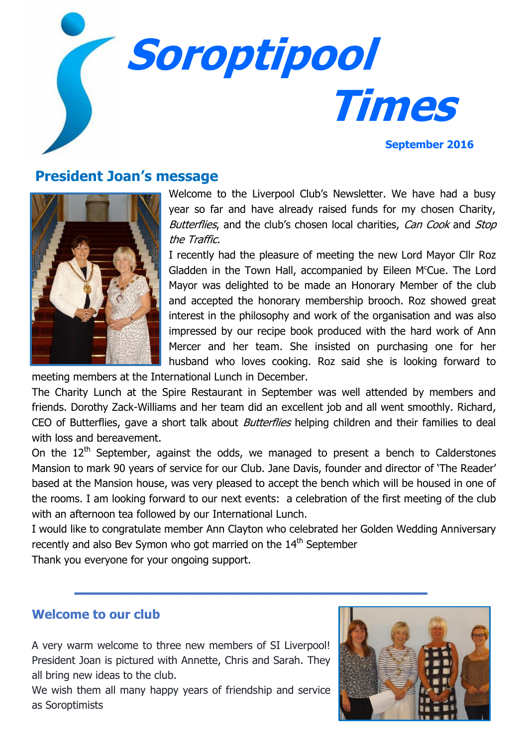

# **President Joan's message**



Welcome to the Liverpool Club's Newsletter. We have had a busy year so far and have already raised funds for my chosen Charity, Butterflies, and the club's chosen local charities, Can Cook and Stop the Traffic.

I recently had the pleasure of meeting the new Lord Mayor Cllr Roz Gladden in the Town Hall, accompanied by Eileen M<sup>c</sup>Cue. The Lord Mayor was delighted to be made an Honorary Member of the club and accepted the honorary membership brooch. Roz showed great interest in the philosophy and work of the organisation and was also impressed by our recipe book produced with the hard work of Ann Mercer and her team. She insisted on purchasing one for her husband who loves cooking. Roz said she is looking forward to

meeting members at the International Lunch in December.

The Charity Lunch at the Spire Restaurant in September was well attended by members and friends. Dorothy Zack-Williams and her team did an excellent job and all went smoothly. Richard, CEO of Butterflies, gave a short talk about *Butterflies* helping children and their families to deal with loss and bereavement.

On the  $12<sup>th</sup>$  September, against the odds, we managed to present a bench to Calderstones Mansion to mark 90 years of service for our Club. Jane Davis, founder and director of 'The Reader' based at the Mansion house, was very pleased to accept the bench which will be housed in one of the rooms. I am looking forward to our next events: a celebration of the first meeting of the club with an afternoon tea followed by our International Lunch.

I would like to congratulate member Ann Clayton who celebrated her Golden Wedding Anniversary recently and also Bev Symon who got married on the  $14<sup>th</sup>$  September

**\_\_\_\_\_\_\_\_\_\_\_\_\_\_\_\_\_\_\_\_\_\_\_\_**

Thank you everyone for your ongoing support.

### **Welcome to our club**

A very warm welcome to three new members of SI Liverpool! President Joan is pictured with Annette, Chris and Sarah. They all bring new ideas to the club.

We wish them all many happy years of friendship and service as Soroptimists

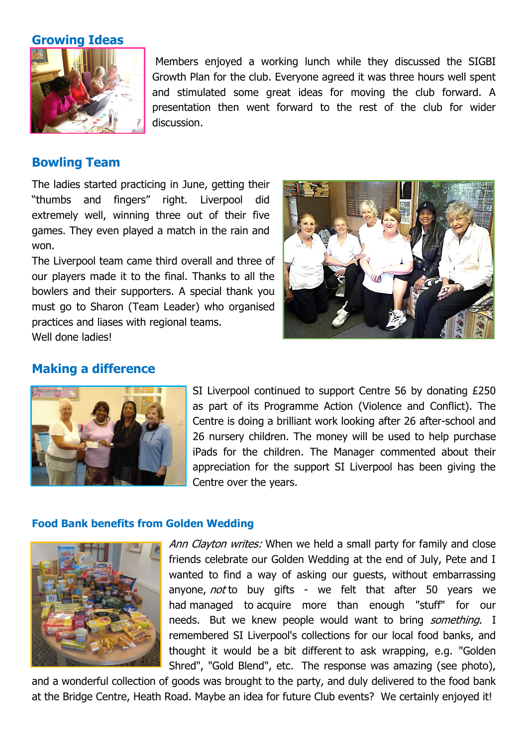**Growing Ideas**



Members enjoyed a working lunch while they discussed the SIGBI Growth Plan for the club. Everyone agreed it was three hours well spent and stimulated some great ideas for moving the club forward. A presentation then went forward to the rest of the club for wider discussion.

## **Bowling Team**

The ladies started practicing in June, getting their "thumbs and fingers" right. Liverpool did extremely well, winning three out of their five games. They even played a match in the rain and won.

The Liverpool team came third overall and three of our players made it to the final. Thanks to all the bowlers and their supporters. A special thank you must go to Sharon (Team Leader) who organised practices and liases with regional teams. Well done ladies!

## **Making a difference**



SI Liverpool continued to support Centre 56 by donating £250 as part of its Programme Action (Violence and Conflict). The Centre is doing a brilliant work looking after 26 after-school and 26 nursery children. The money will be used to help purchase iPads for the children. The Manager commented about their appreciation for the support SI Liverpool has been giving the Centre over the years.

#### **Food Bank benefits from Golden Wedding**



Ann Clayton writes: When we held a small party for family and close friends celebrate our Golden Wedding at the end of July, Pete and I wanted to find a way of asking our guests, without embarrassing anyone, not to buy gifts - we felt that after 50 years we had managed to acquire more than enough "stuff" for our needs. But we knew people would want to bring *something*. I remembered SI Liverpool's collections for our local food banks, and thought it would be a bit different to ask wrapping, e.g. "Golden Shred", "Gold Blend", etc. The response was amazing (see photo),

and a wonderful collection of goods was brought to the party, and duly delivered to the food bank at the Bridge Centre, Heath Road. Maybe an idea for future Club events? We certainly enjoyed it!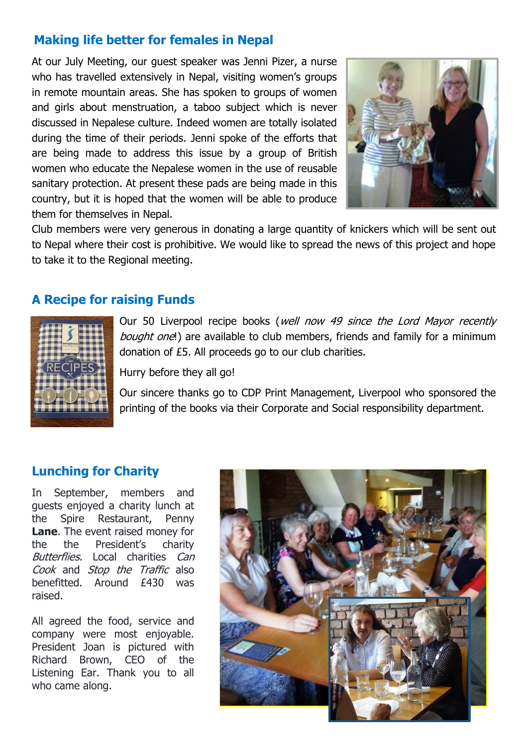# **Making life better for females in Nepal**

At our July Meeting, our guest speaker was Jenni Pizer, a nurse who has travelled extensively in Nepal, visiting women's groups in remote mountain areas. She has spoken to groups of women and girls about menstruation, a taboo subject which is never discussed in Nepalese culture. Indeed women are totally isolated during the time of their periods. Jenni spoke of the efforts that are being made to address this issue by a group of British women who educate the Nepalese women in the use of reusable sanitary protection. At present these pads are being made in this country, but it is hoped that the women will be able to produce them for themselves in Nepal.



Club members were very generous in donating a large quantity of knickers which will be sent out to Nepal where their cost is prohibitive. We would like to spread the news of this project and hope to take it to the Regional meeting.

### **A Recipe for raising Funds**



Our 50 Liverpool recipe books (well now 49 since the Lord Mayor recently bought one!) are available to club members, friends and family for a minimum donation of £5. All proceeds go to our club charities.

Hurry before they all go!

Our sincere thanks go to CDP Print Management, Liverpool who sponsored the printing of the books via their Corporate and Social responsibility department.

## **Lunching for Charity**

In September, members and guests enjoyed a charity lunch at the Spire Restaurant, Penny **Lane**. The event raised money for the the President's charity Butterflies. Local charities Can Cook and Stop the Traffic also benefitted. Around £430 was raised.

All agreed the food, service and company were most enjoyable. President Joan is pictured with Richard Brown, CEO of the Listening Ear. Thank you to all who came along.

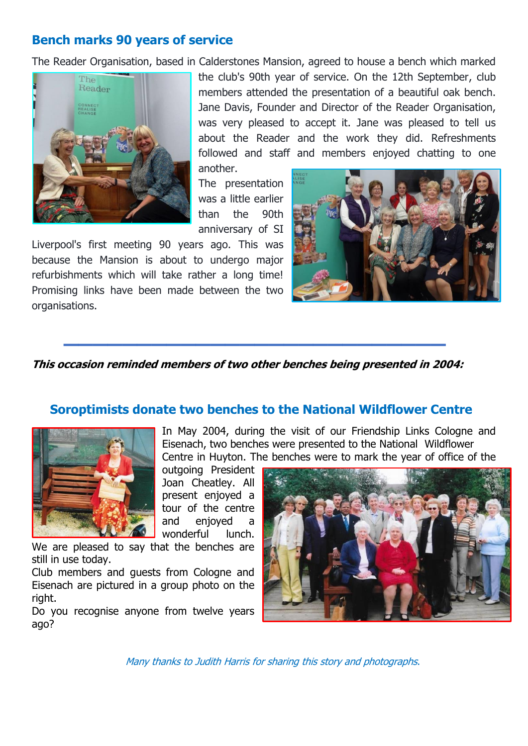## **Bench marks 90 years of service**

The Reader Organisation, based in Calderstones Mansion, agreed to house a bench which marked



the club's 90th year of service. On the 12th September, club members attended the presentation of a beautiful oak bench. Jane Davis, Founder and Director of the Reader Organisation, was very pleased to accept it. Jane was pleased to tell us about the Reader and the work they did. Refreshments followed and staff and members enjoyed chatting to one

another.

The presentation was a little earlier than the 90th anniversary of SI

Liverpool's first meeting 90 years ago. This was because the Mansion is about to undergo major refurbishments which will take rather a long time! Promising links have been made between the two organisations.



**This occasion reminded members of two other benches being presented in 2004:**

**\_\_\_\_\_\_\_\_\_\_\_\_\_\_\_\_\_\_\_\_\_\_\_\_\_\_**

### **Soroptimists donate two benches to the National Wildflower Centre**



In May 2004, during the visit of our Friendship Links Cologne and Eisenach, two benches were presented to the National Wildflower Centre in Huyton. The benches were to mark the year of office of the

outgoing President Joan Cheatley. All present enjoyed a tour of the centre and enjoyed a wonderful lunch.

We are pleased to say that the benches are still in use today.

Club members and guests from Cologne and Eisenach are pictured in a group photo on the right.

Do you recognise anyone from twelve years ago?



Many thanks to Judith Harris for sharing this story and photographs.